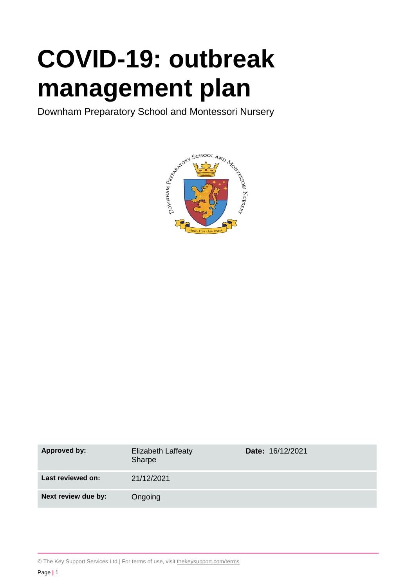# **COVID-19: outbreak management plan**

Downham Preparatory School and Montessori Nursery



| <b>Approved by:</b> | <b>Elizabeth Laffeaty</b><br>Sharpe | <b>Date: 16/12/2021</b> |
|---------------------|-------------------------------------|-------------------------|
| Last reviewed on:   | 21/12/2021                          |                         |
| Next review due by: | Ongoing                             |                         |

© The Key Support Services Ltd | For terms of use, visit thekeysupport.com/terms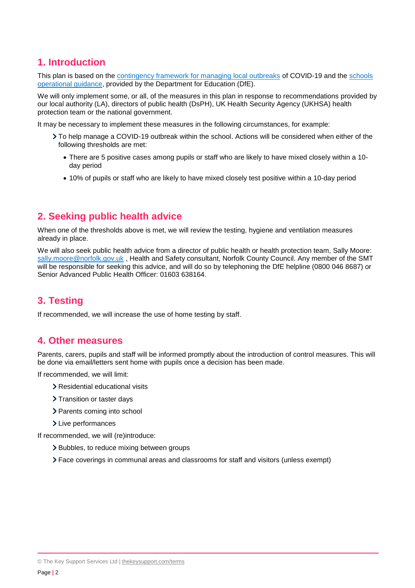## **1. Introduction**

This plan is based on the [contingency framework for managing local outbreaks](https://www.gov.uk/government/publications/coronavirus-covid-19-local-restrictions-in-education-and-childcare-settings) of COVID-19 and the [schools](https://www.gov.uk/government/publications/actions-for-schools-during-the-coronavirus-outbreak)  [operational guidance,](https://www.gov.uk/government/publications/actions-for-schools-during-the-coronavirus-outbreak) provided by the Department for Education (DfE).

We will only implement some, or all, of the measures in this plan in response to recommendations provided by our local authority (LA), directors of public health (DsPH), UK Health Security Agency (UKHSA) health protection team or the national government.

It may be necessary to implement these measures in the following circumstances, for example:

- To help manage a COVID-19 outbreak within the school. Actions will be considered when either of the following thresholds are met:
	- There are 5 positive cases among pupils or staff who are likely to have mixed closely within a 10 day period
	- 10% of pupils or staff who are likely to have mixed closely test positive within a 10-day period

## **2. Seeking public health advice**

When one of the thresholds above is met, we will review the testing, hygiene and ventilation measures already in place.

We will also seek public health advice from a director of public health or health protection team, Sally Moore: [sally.moore@norfolk.gov.uk](mailto:sally.moore@norfolk.gov.uk), Health and Safety consultant, Norfolk County Council. Any member of the SMT will be responsible for seeking this advice, and will do so by telephoning the DfE helpline (0800 046 8687) or Senior Advanced Public Health Officer: 01603 638164.

## **3. Testing**

If recommended, we will increase the use of home testing by staff.

## **4. Other measures**

Parents, carers, pupils and staff will be informed promptly about the introduction of control measures. This will be done via email/letters sent home with pupils once a decision has been made.

If recommended, we will limit:

- > Residential educational visits
- > Transition or taster days
- > Parents coming into school
- > Live performances

If recommended, we will (re)introduce:

- > Bubbles, to reduce mixing between groups
- Face coverings in communal areas and classrooms for staff and visitors (unless exempt)

<sup>©</sup> The Key Support Services Ltd | thekeysupport.com/terms